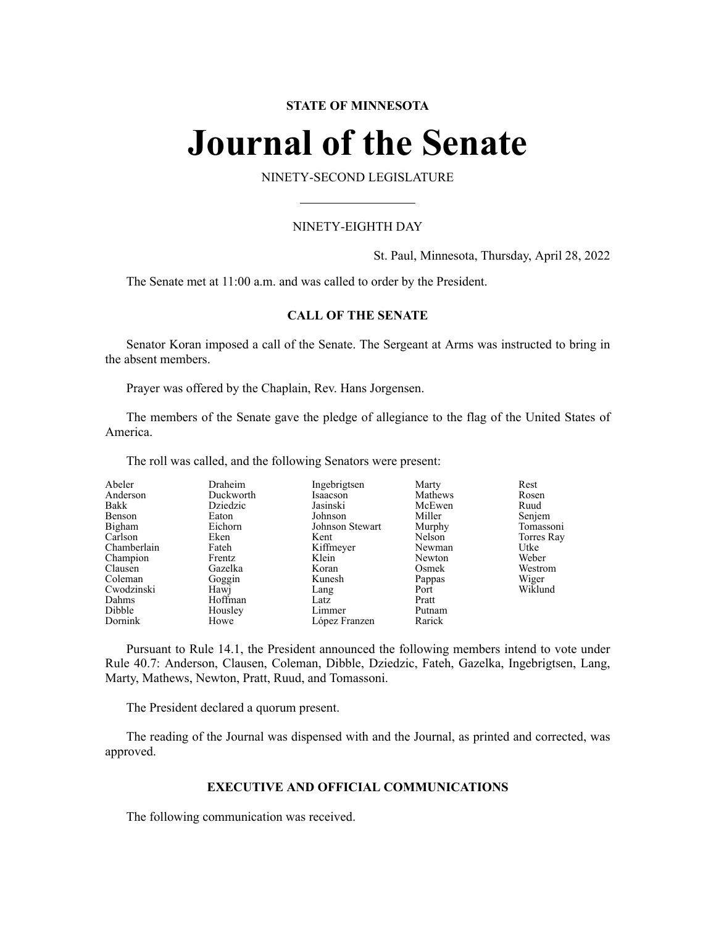#### **STATE OF MINNESOTA**

# **Journal of the Senate**

NINETY-SECOND LEGISLATURE

#### NINETY-EIGHTH DAY

St. Paul, Minnesota, Thursday, April 28, 2022

The Senate met at 11:00 a.m. and was called to order by the President.

#### **CALL OF THE SENATE**

Senator Koran imposed a call of the Senate. The Sergeant at Arms was instructed to bring in the absent members.

Prayer was offered by the Chaplain, Rev. Hans Jorgensen.

The members of the Senate gave the pledge of allegiance to the flag of the United States of America.

The roll was called, and the following Senators were present:

| Abeler      | Draheim   | Ingebrigtsen    | Marty   | Rest       |
|-------------|-----------|-----------------|---------|------------|
| Anderson    | Duckworth | Isaacson        | Mathews | Rosen      |
| Bakk        | Dziedzic  | Jasinski        | McEwen  | Ruud       |
| Benson      | Eaton     | Johnson         | Miller  | Senjem     |
| Bigham      | Eichorn   | Johnson Stewart | Murphy  | Tomassoni  |
| Carlson     | Eken      | Kent            | Nelson  | Torres Ray |
| Chamberlain | Fateh     | Kiffmeyer       | Newman  | Utke       |
| Champion    | Frentz    | Klein           | Newton  | Weber      |
| Clausen     | Gazelka   | Koran           | Osmek   | Westrom    |
| Coleman     | Goggin    | Kunesh          | Pappas  | Wiger      |
| Cwodzinski  | Hawj      | Lang            | Port    | Wiklund    |
| Dahms       | Hoffman   | Latz            | Pratt   |            |
| Dibble      | Housley   | Limmer          | Putnam  |            |
| Dornink     | Howe      | López Franzen   | Rarick  |            |

Pursuant to Rule 14.1, the President announced the following members intend to vote under Rule 40.7: Anderson, Clausen, Coleman, Dibble, Dziedzic, Fateh, Gazelka, Ingebrigtsen, Lang, Marty, Mathews, Newton, Pratt, Ruud, and Tomassoni.

The President declared a quorum present.

The reading of the Journal was dispensed with and the Journal, as printed and corrected, was approved.

#### **EXECUTIVE AND OFFICIAL COMMUNICATIONS**

The following communication was received.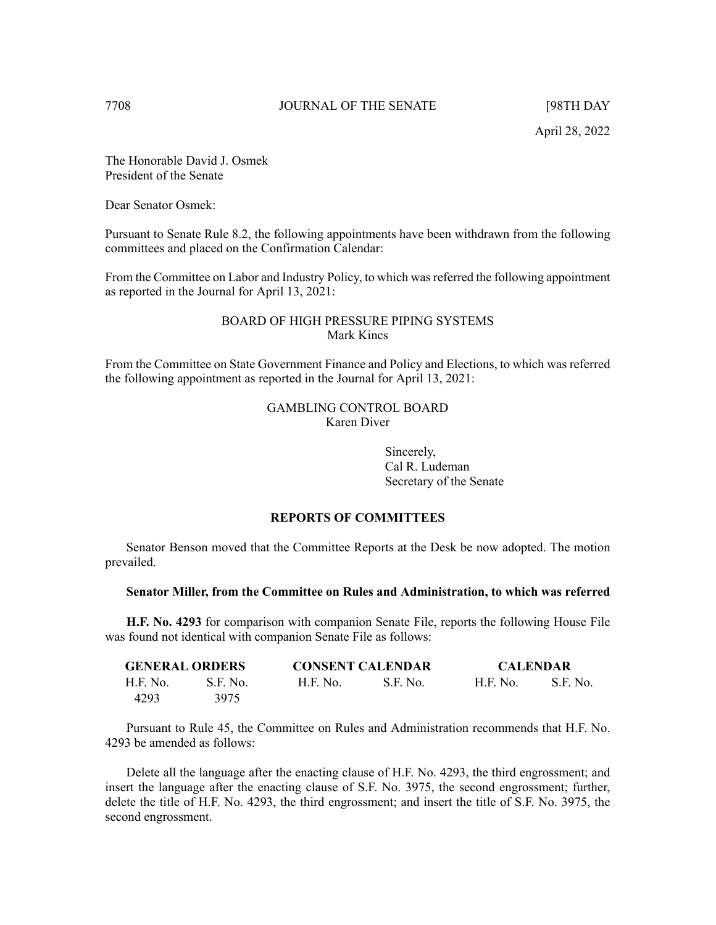The Honorable David J. Osmek President of the Senate

Dear Senator Osmek:

Pursuant to Senate Rule 8.2, the following appointments have been withdrawn from the following committees and placed on the Confirmation Calendar:

From the Committee on Labor and Industry Policy, to which was referred the following appointment as reported in the Journal for April 13, 2021:

### BOARD OF HIGH PRESSURE PIPING SYSTEMS Mark Kincs

From the Committee on State Government Finance and Policy and Elections, to which was referred the following appointment as reported in the Journal for April 13, 2021:

> GAMBLING CONTROL BOARD Karen Diver

> > Sincerely, Cal R. Ludeman Secretary of the Senate

#### **REPORTS OF COMMITTEES**

Senator Benson moved that the Committee Reports at the Desk be now adopted. The motion prevailed.

#### **Senator Miller, from the Committee on Rules and Administration, to which was referred**

**H.F. No. 4293** for comparison with companion Senate File, reports the following House File was found not identical with companion Senate File as follows:

| <b>GENERAL ORDERS</b> |          | <b>CONSENT CALENDAR</b> |          | <b>CALENDAR</b> |          |
|-----------------------|----------|-------------------------|----------|-----------------|----------|
| H.F. No.              | S.F. No. | H.E. No.                | S.F. No. | <b>H.F. No.</b> | S.F. No. |
| 4293                  | 3975     |                         |          |                 |          |

Pursuant to Rule 45, the Committee on Rules and Administration recommends that H.F. No. 4293 be amended as follows:

Delete all the language after the enacting clause of H.F. No. 4293, the third engrossment; and insert the language after the enacting clause of S.F. No. 3975, the second engrossment; further, delete the title of H.F. No. 4293, the third engrossment; and insert the title of S.F. No. 3975, the second engrossment.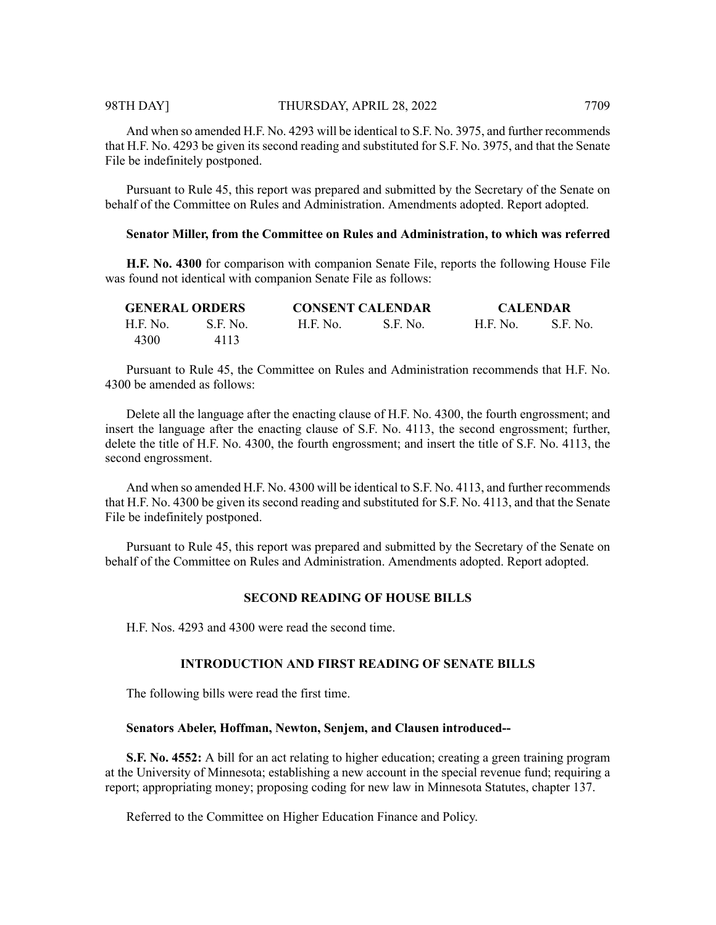#### 98TH DAY] THURSDAY, APRIL 28, 2022 7709

And when so amended H.F. No. 4293 will be identical to S.F. No. 3975, and further recommends that H.F. No. 4293 be given its second reading and substituted for S.F. No. 3975, and that the Senate File be indefinitely postponed.

Pursuant to Rule 45, this report was prepared and submitted by the Secretary of the Senate on behalf of the Committee on Rules and Administration. Amendments adopted. Report adopted.

#### **Senator Miller, from the Committee on Rules and Administration, to which was referred**

**H.F. No. 4300** for comparison with companion Senate File, reports the following House File was found not identical with companion Senate File as follows:

|          | <b>GENERAL ORDERS</b> | <b>CONSENT CALENDAR</b> |           | <b>CALENDAR</b> |          |
|----------|-----------------------|-------------------------|-----------|-----------------|----------|
| H.F. No. | S.F. No.              | <b>H.F. No.</b>         | -S.F. No. | H.F. No.        | S.F. No. |
| 4300     | 4113                  |                         |           |                 |          |

Pursuant to Rule 45, the Committee on Rules and Administration recommends that H.F. No. 4300 be amended as follows:

Delete all the language after the enacting clause of H.F. No. 4300, the fourth engrossment; and insert the language after the enacting clause of S.F. No. 4113, the second engrossment; further, delete the title of H.F. No. 4300, the fourth engrossment; and insert the title of S.F. No. 4113, the second engrossment.

And when so amended H.F. No. 4300 will be identical to S.F. No. 4113, and further recommends that H.F. No. 4300 be given its second reading and substituted for S.F. No. 4113, and that the Senate File be indefinitely postponed.

Pursuant to Rule 45, this report was prepared and submitted by the Secretary of the Senate on behalf of the Committee on Rules and Administration. Amendments adopted. Report adopted.

#### **SECOND READING OF HOUSE BILLS**

H.F. Nos. 4293 and 4300 were read the second time.

#### **INTRODUCTION AND FIRST READING OF SENATE BILLS**

The following bills were read the first time.

#### **Senators Abeler, Hoffman, Newton, Senjem, and Clausen introduced--**

**S.F. No. 4552:** A bill for an act relating to higher education; creating a green training program at the University of Minnesota; establishing a new account in the special revenue fund; requiring a report; appropriating money; proposing coding for new law in Minnesota Statutes, chapter 137.

Referred to the Committee on Higher Education Finance and Policy.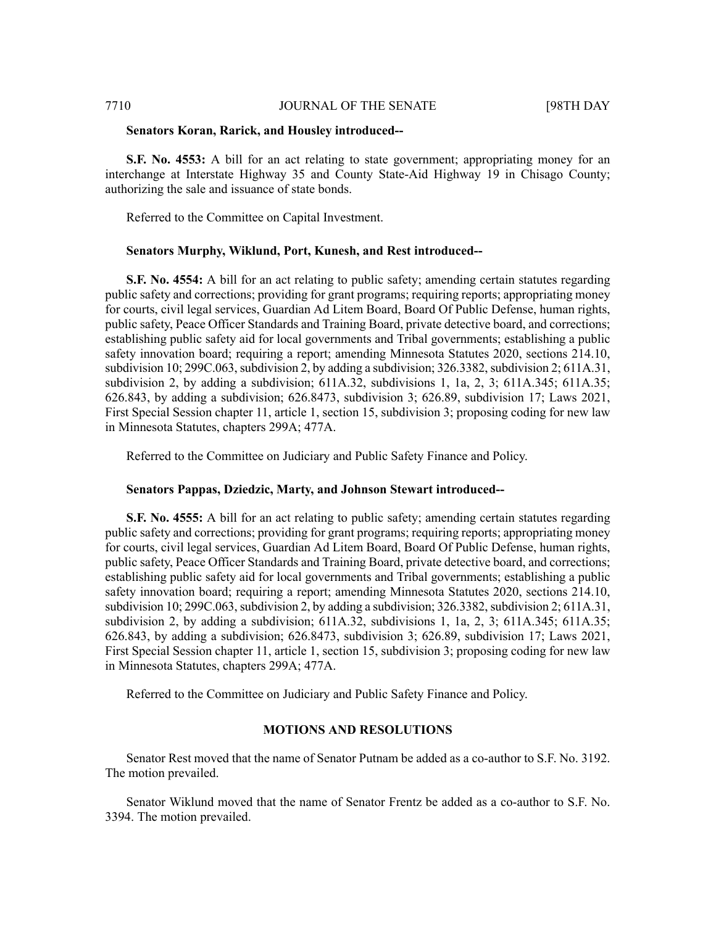#### 7710 JOURNAL OF THE SENATE [98TH DAY

#### **Senators Koran, Rarick, and Housley introduced--**

**S.F. No. 4553:** A bill for an act relating to state government; appropriating money for an interchange at Interstate Highway 35 and County State-Aid Highway 19 in Chisago County; authorizing the sale and issuance of state bonds.

Referred to the Committee on Capital Investment.

#### **Senators Murphy, Wiklund, Port, Kunesh, and Rest introduced--**

**S.F. No. 4554:** A bill for an act relating to public safety; amending certain statutes regarding public safety and corrections; providing for grant programs; requiring reports; appropriating money for courts, civil legal services, Guardian Ad Litem Board, Board Of Public Defense, human rights, public safety, Peace Officer Standards and Training Board, private detective board, and corrections; establishing public safety aid for local governments and Tribal governments; establishing a public safety innovation board; requiring a report; amending Minnesota Statutes 2020, sections 214.10, subdivision 10; 299C.063, subdivision 2, by adding a subdivision;  $326.3382$ , subdivision 2; 611A.31, subdivision 2, by adding a subdivision; 611A.32, subdivisions 1, 1a, 2, 3; 611A.345; 611A.35; 626.843, by adding a subdivision; 626.8473, subdivision 3; 626.89, subdivision 17; Laws 2021, First Special Session chapter 11, article 1, section 15, subdivision 3; proposing coding for new law in Minnesota Statutes, chapters 299A; 477A.

Referred to the Committee on Judiciary and Public Safety Finance and Policy.

#### **Senators Pappas, Dziedzic, Marty, and Johnson Stewart introduced--**

**S.F. No. 4555:** A bill for an act relating to public safety; amending certain statutes regarding public safety and corrections; providing for grant programs; requiring reports; appropriating money for courts, civil legal services, Guardian Ad Litem Board, Board Of Public Defense, human rights, public safety, Peace Officer Standards and Training Board, private detective board, and corrections; establishing public safety aid for local governments and Tribal governments; establishing a public safety innovation board; requiring a report; amending Minnesota Statutes 2020, sections 214.10, subdivision 10; 299C.063, subdivision 2, by adding a subdivision;  $326.3382$ , subdivision 2; 611A.31, subdivision 2, by adding a subdivision; 611A.32, subdivisions 1, 1a, 2, 3; 611A.345; 611A.35; 626.843, by adding a subdivision; 626.8473, subdivision 3; 626.89, subdivision 17; Laws 2021, First Special Session chapter 11, article 1, section 15, subdivision 3; proposing coding for new law in Minnesota Statutes, chapters 299A; 477A.

Referred to the Committee on Judiciary and Public Safety Finance and Policy.

#### **MOTIONS AND RESOLUTIONS**

Senator Rest moved that the name of Senator Putnam be added as a co-author to S.F. No. 3192. The motion prevailed.

Senator Wiklund moved that the name of Senator Frentz be added as a co-author to S.F. No. 3394. The motion prevailed.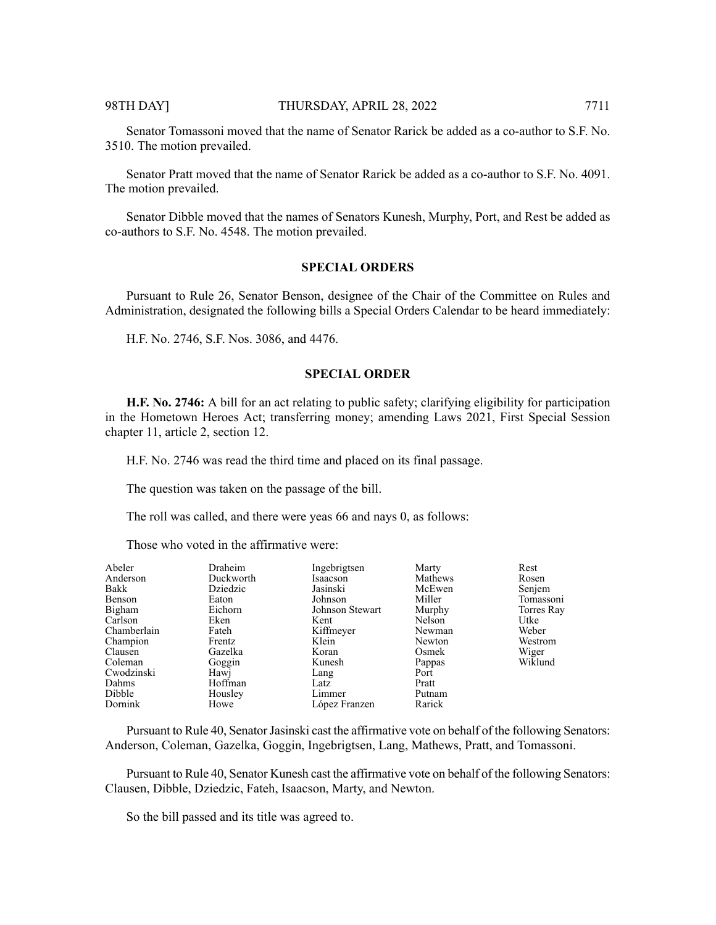Senator Tomassoni moved that the name of Senator Rarick be added as a co-author to S.F. No. 3510. The motion prevailed.

Senator Pratt moved that the name of Senator Rarick be added as a co-author to S.F. No. 4091. The motion prevailed.

Senator Dibble moved that the names of Senators Kunesh, Murphy, Port, and Rest be added as co-authors to S.F. No. 4548. The motion prevailed.

#### **SPECIAL ORDERS**

Pursuant to Rule 26, Senator Benson, designee of the Chair of the Committee on Rules and Administration, designated the following bills a Special Orders Calendar to be heard immediately:

H.F. No. 2746, S.F. Nos. 3086, and 4476.

#### **SPECIAL ORDER**

**H.F. No. 2746:** A bill for an act relating to public safety; clarifying eligibility for participation in the Hometown Heroes Act; transferring money; amending Laws 2021, First Special Session chapter 11, article 2, section 12.

H.F. No. 2746 was read the third time and placed on its final passage.

The question was taken on the passage of the bill.

The roll was called, and there were yeas 66 and nays 0, as follows:

Those who voted in the affirmative were:

| Abeler      | Draheim   | Ingebrigtsen    | Marty   | Rest       |
|-------------|-----------|-----------------|---------|------------|
| Anderson    | Duckworth | Isaacson        | Mathews | Rosen      |
| Bakk        | Dziedzic  | Jasinski        | McEwen  | Senjem     |
| Benson      | Eaton     | Johnson         | Miller  | Tomassoni  |
| Bigham      | Eichorn   | Johnson Stewart | Murphy  | Torres Ray |
| Carlson     | Eken      | Kent            | Nelson  | Utke       |
| Chamberlain | Fateh     | Kiffmeyer       | Newman  | Weber      |
| Champion    | Frentz    | Klein           | Newton  | Westrom    |
| Clausen     | Gazelka   | Koran           | Osmek   | Wiger      |
| Coleman     | Goggin    | Kunesh          | Pappas  | Wiklund    |
| Cwodzinski  | Hawj      | Lang            | Port    |            |
| Dahms       | Hoffman   | Latz            | Pratt   |            |
| Dibble      | Housley   | Limmer          | Putnam  |            |
| Dornink     | Howe      | López Franzen   | Rarick  |            |

Pursuant to Rule 40, Senator Jasinski cast the affirmative vote on behalf of the following Senators: Anderson, Coleman, Gazelka, Goggin, Ingebrigtsen, Lang, Mathews, Pratt, and Tomassoni.

Pursuant to Rule 40, Senator Kunesh cast the affirmative vote on behalf of the following Senators: Clausen, Dibble, Dziedzic, Fateh, Isaacson, Marty, and Newton.

So the bill passed and its title was agreed to.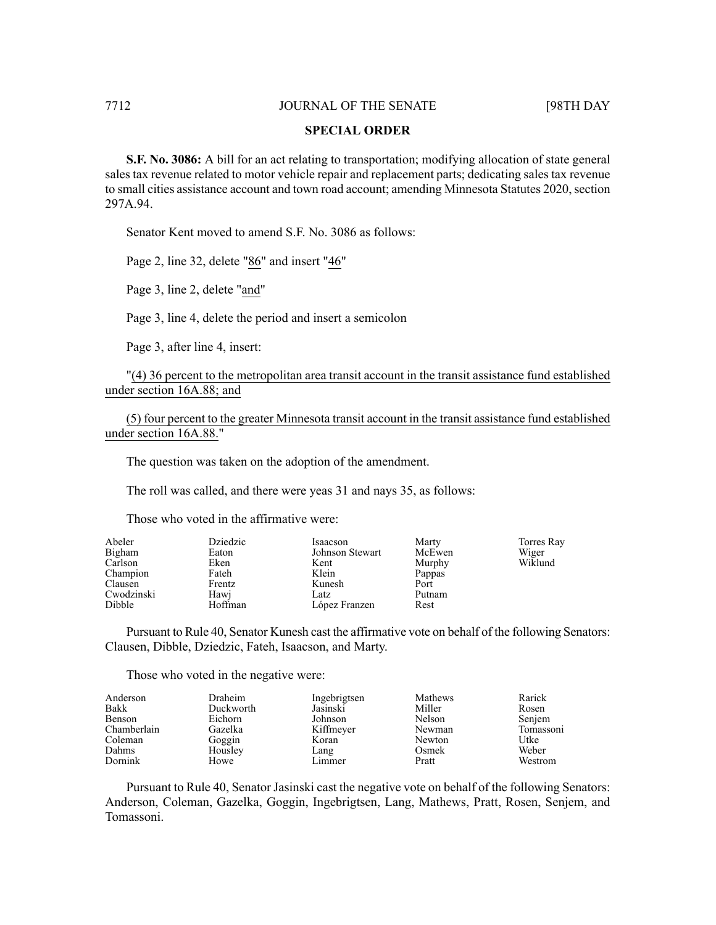#### **SPECIAL ORDER**

**S.F. No. 3086:** A bill for an act relating to transportation; modifying allocation of state general sales tax revenue related to motor vehicle repair and replacement parts; dedicating sales tax revenue to small cities assistance account and town road account; amending Minnesota Statutes 2020, section 297A.94.

Senator Kent moved to amend S.F. No. 3086 as follows:

Page 2, line 32, delete "86" and insert "46"

Page 3, line 2, delete "and"

Page 3, line 4, delete the period and insert a semicolon

Page 3, after line 4, insert:

"(4) 36 percent to the metropolitan area transit account in the transit assistance fund established under section 16A.88; and

(5) four percent to the greater Minnesota transit account in the transit assistance fund established under section 16A.88."

The question was taken on the adoption of the amendment.

The roll was called, and there were yeas 31 and nays 35, as follows:

Those who voted in the affirmative were:

| Abeler     | Dziedzic | Isaacson        | Marty  | Torres Ray |
|------------|----------|-----------------|--------|------------|
| Bigham     | Eaton    | Johnson Stewart | McEwen | Wiger      |
| Carlson    | Eken     | Kent            | Murphy | Wiklund    |
| Champion   | Fateh    | Klein           | Pappas |            |
| Clausen    | Frentz   | Kunesh          | Port   |            |
| Cwodzinski | Hawj     | Latz            | Putnam |            |
| Dibble     | Hoffman  | López Franzen   | Rest   |            |

Pursuant to Rule 40, Senator Kunesh cast the affirmative vote on behalf of the following Senators: Clausen, Dibble, Dziedzic, Fateh, Isaacson, and Marty.

Those who voted in the negative were:

| Anderson       | Draheim   | Ingebrigtsen | Mathews | Rarick    |
|----------------|-----------|--------------|---------|-----------|
| Bakk           | Duckworth | Jasinski     | Miller  | Rosen     |
| Benson         | Eichorn   | Johnson      | Nelson  | Senjem    |
| Chamberlain    | Gazelka   | Kiffmeyer    | Newman  | Tomassoni |
| Coleman        | Goggin    | Koran        | Newton  | Utke      |
| Dahms          | Housley   | Lang         | Osmek   | Weber     |
| <b>Dornink</b> | Howe      | Limmer       | Pratt   | Westrom   |

Pursuant to Rule 40, Senator Jasinski cast the negative vote on behalf of the following Senators: Anderson, Coleman, Gazelka, Goggin, Ingebrigtsen, Lang, Mathews, Pratt, Rosen, Senjem, and Tomassoni.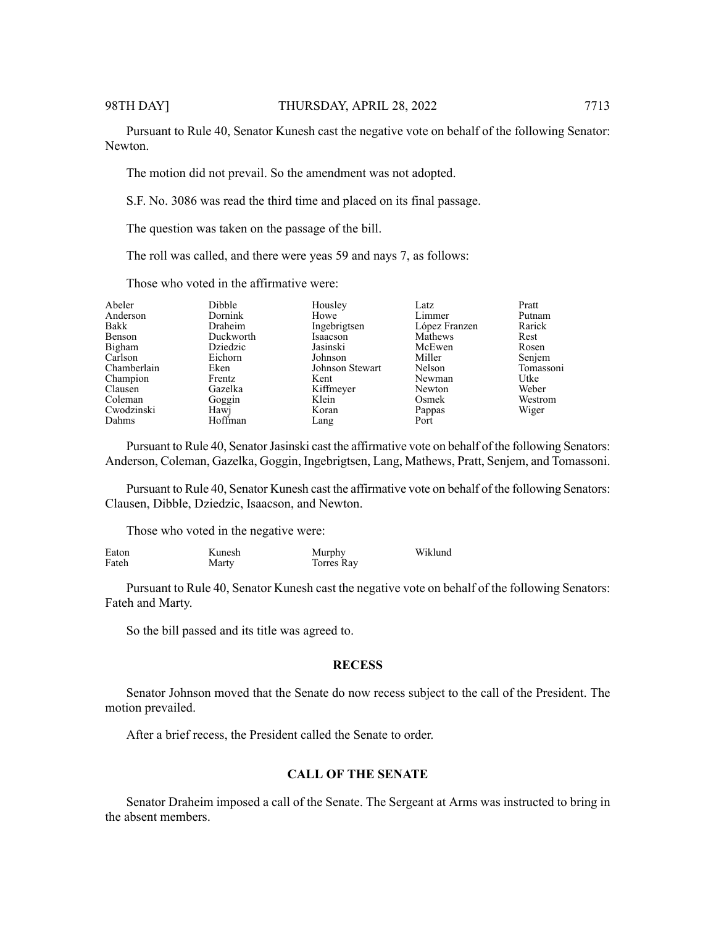Pursuant to Rule 40, Senator Kunesh cast the negative vote on behalf of the following Senator: Newton.

The motion did not prevail. So the amendment was not adopted.

S.F. No. 3086 was read the third time and placed on its final passage.

The question was taken on the passage of the bill.

The roll was called, and there were yeas 59 and nays 7, as follows:

Those who voted in the affirmative were:

| Abeler<br>Anderson<br>Bakk<br>Benson<br>Bigham<br>Carlson<br>Chamberlain<br>Champion | <b>Dibble</b><br>Dornink<br>Draheim<br>Duckworth<br>Dziedzic<br>Eichorn<br>Eken<br>Frentz | Housley<br>Howe<br>Ingebrigtsen<br>Isaacson<br>Jasinski<br>Johnson<br>Johnson Stewart<br>Kent | Latz<br>Limmer<br>López Franzen<br>Mathews<br>McEwen<br>Miller<br>Nelson<br>Newman | Pratt<br>Putnam<br>Rarick<br>Rest<br>Rosen<br>Senjem<br>Utke |
|--------------------------------------------------------------------------------------|-------------------------------------------------------------------------------------------|-----------------------------------------------------------------------------------------------|------------------------------------------------------------------------------------|--------------------------------------------------------------|
|                                                                                      |                                                                                           |                                                                                               |                                                                                    |                                                              |
|                                                                                      |                                                                                           |                                                                                               |                                                                                    |                                                              |
|                                                                                      |                                                                                           |                                                                                               |                                                                                    | Tomassoni                                                    |
|                                                                                      |                                                                                           |                                                                                               |                                                                                    |                                                              |
| Clausen                                                                              | Gazelka                                                                                   | Kiffmeyer                                                                                     | Newton                                                                             | Weber                                                        |
| Coleman                                                                              | Goggin                                                                                    | Klein                                                                                         | Osmek                                                                              | Westrom                                                      |
| Cwodzinski                                                                           | Hawj                                                                                      | Koran                                                                                         | Pappas                                                                             | Wiger                                                        |
| Dahms                                                                                | Hoffman                                                                                   | Lang                                                                                          | Port                                                                               |                                                              |
|                                                                                      |                                                                                           |                                                                                               |                                                                                    |                                                              |

Pursuant to Rule 40, Senator Jasinski cast the affirmative vote on behalf of the following Senators: Anderson, Coleman, Gazelka, Goggin, Ingebrigtsen, Lang, Mathews, Pratt, Senjem, and Tomassoni.

Pursuant to Rule 40, Senator Kunesh cast the affirmative vote on behalf of the following Senators: Clausen, Dibble, Dziedzic, Isaacson, and Newton.

Those who voted in the negative were:

| Eaton | Kunesh | Murphy     | Wiklund |
|-------|--------|------------|---------|
| Fateh | Marty  | Torres Rav |         |

Pursuant to Rule 40, Senator Kunesh cast the negative vote on behalf of the following Senators: Fateh and Marty.

So the bill passed and its title was agreed to.

#### **RECESS**

Senator Johnson moved that the Senate do now recess subject to the call of the President. The motion prevailed.

After a brief recess, the President called the Senate to order.

#### **CALL OF THE SENATE**

Senator Draheim imposed a call of the Senate. The Sergeant at Arms was instructed to bring in the absent members.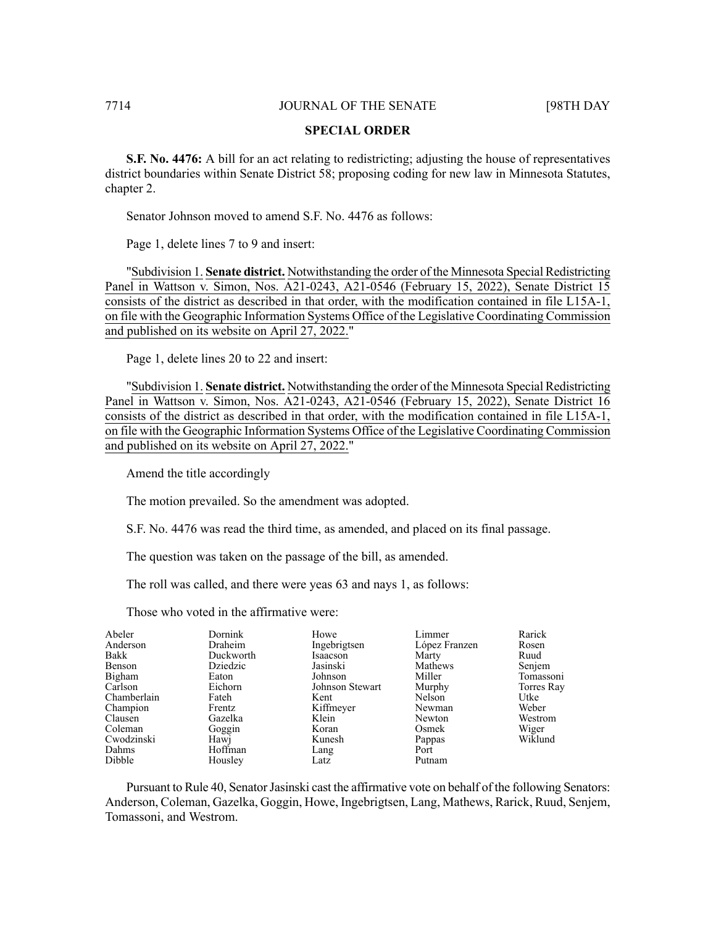#### **SPECIAL ORDER**

**S.F. No. 4476:** A bill for an act relating to redistricting; adjusting the house of representatives district boundaries within Senate District 58; proposing coding for new law in Minnesota Statutes, chapter 2.

Senator Johnson moved to amend S.F. No. 4476 as follows:

Page 1, delete lines 7 to 9 and insert:

"Subdivision 1. **Senate district.** Notwithstanding the order of the Minnesota Special Redistricting Panel in Wattson v. Simon, Nos. A21-0243, A21-0546 (February 15, 2022), Senate District 15 consists of the district as described in that order, with the modification contained in file L15A-1, on file with the Geographic Information Systems Office of the Legislative Coordinating Commission and published on its website on April 27, 2022."

Page 1, delete lines 20 to 22 and insert:

"Subdivision 1. **Senate district.** Notwithstanding the order of the Minnesota Special Redistricting Panel in Wattson v. Simon, Nos. A21-0243, A21-0546 (February 15, 2022), Senate District 16 consists of the district as described in that order, with the modification contained in file L15A-1, on file with the Geographic Information Systems Office of the Legislative Coordinating Commission and published on its website on April 27, 2022."

Amend the title accordingly

The motion prevailed. So the amendment was adopted.

S.F. No. 4476 was read the third time, as amended, and placed on its final passage.

The question was taken on the passage of the bill, as amended.

The roll was called, and there were yeas 63 and nays 1, as follows:

Those who voted in the affirmative were:

| Abeler      | Dornink   | Howe            | Limmer        | Rarick     |
|-------------|-----------|-----------------|---------------|------------|
| Anderson    | Draheim   | Ingebrigtsen    | López Franzen | Rosen      |
| Bakk        | Duckworth | Isaacson        | Marty         | Ruud       |
| Benson      | Dziedzic  | Jasinski        | Mathews       | Senjem     |
| Bigham      | Eaton     | Johnson         | Miller        | Tomassoni  |
| Carlson     | Eichorn   | Johnson Stewart | Murphy        | Torres Ray |
| Chamberlain | Fateh     | Kent            | Nelson        | Utke       |
| Champion    | Frentz    | Kiffmeyer       | Newman        | Weber      |
| Clausen     | Gazelka   | Klein           | Newton        | Westrom    |
| Coleman     | Goggin    | Koran           | Osmek         | Wiger      |
| Cwodzinski  | Hawj      | Kunesh          | Pappas        | Wiklund    |
| Dahms       | Hoffman   | Lang            | Port          |            |
| Dibble      | Housley   | Latz            | Putnam        |            |

Pursuant to Rule 40, Senator Jasinski cast the affirmative vote on behalf of the following Senators: Anderson, Coleman, Gazelka, Goggin, Howe, Ingebrigtsen, Lang, Mathews, Rarick, Ruud, Senjem, Tomassoni, and Westrom.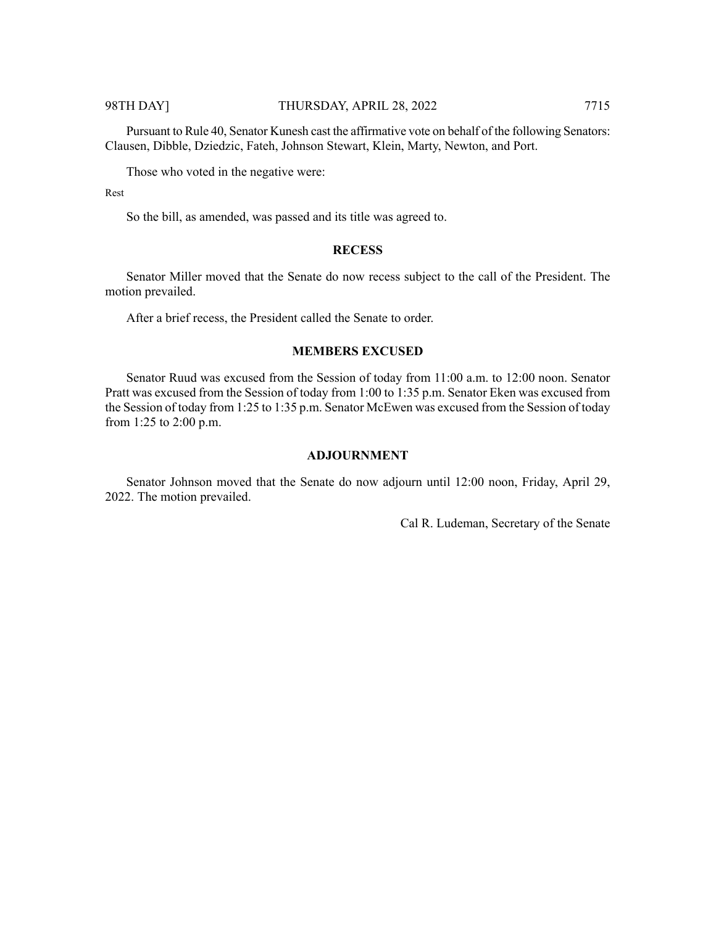Pursuant to Rule 40, Senator Kunesh cast the affirmative vote on behalf of the following Senators:

Clausen, Dibble, Dziedzic, Fateh, Johnson Stewart, Klein, Marty, Newton, and Port.

Those who voted in the negative were:

Rest

So the bill, as amended, was passed and its title was agreed to.

#### **RECESS**

Senator Miller moved that the Senate do now recess subject to the call of the President. The motion prevailed.

After a brief recess, the President called the Senate to order.

#### **MEMBERS EXCUSED**

Senator Ruud was excused from the Session of today from 11:00 a.m. to 12:00 noon. Senator Pratt was excused from the Session of today from 1:00 to 1:35 p.m. Senator Eken was excused from the Session of today from 1:25 to 1:35 p.m. Senator McEwen was excused from the Session of today from 1:25 to 2:00 p.m.

#### **ADJOURNMENT**

Senator Johnson moved that the Senate do now adjourn until 12:00 noon, Friday, April 29, 2022. The motion prevailed.

Cal R. Ludeman, Secretary of the Senate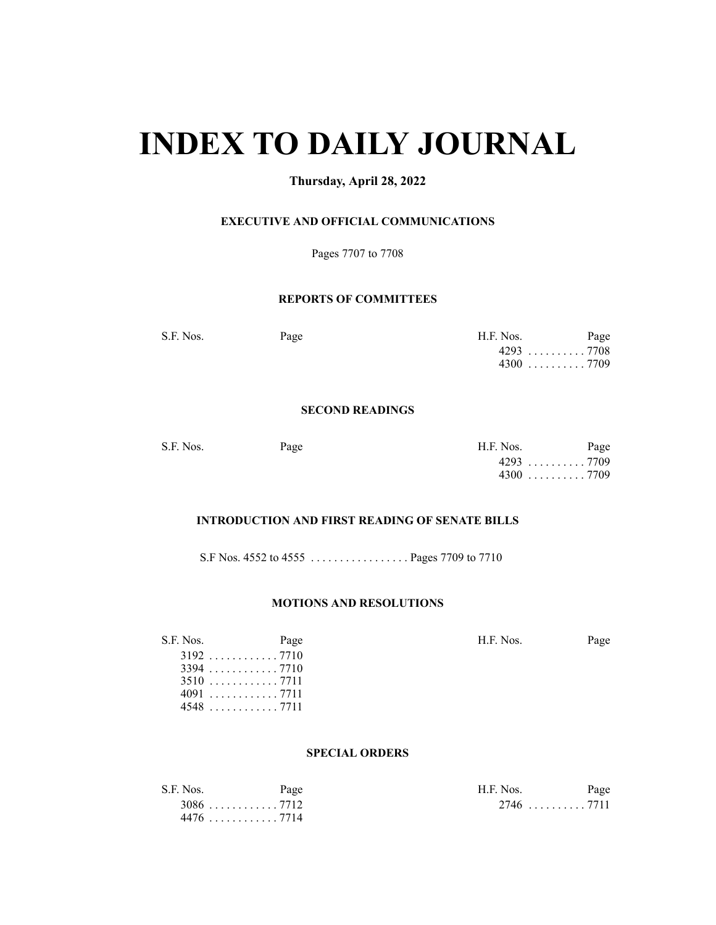# **INDEX TO DAILY JOURNAL**

### **Thursday, April 28, 2022**

#### **EXECUTIVE AND OFFICIAL COMMUNICATIONS**

Pages 7707 to 7708

#### **REPORTS OF COMMITTEES**

S.F. Nos. Page Page H.F. Nos. Page 4293 . . . . . . . . . . 7708 4300 . . . . . . . . . . 7709

#### **SECOND READINGS**

| S.F. Nos. | Page | H.F. Nos.                               | Page |
|-----------|------|-----------------------------------------|------|
|           |      | 4293 7709                               |      |
|           |      | $4300 \ldots \ldots \ldots \ldots 7709$ |      |

### **INTRODUCTION AND FIRST READING OF SENATE BILLS**

S.F Nos. 4552 to 4555 . . . . . . . . . . . . . . . . . Pages 7709 to 7710

#### **MOTIONS AND RESOLUTIONS**

| S.F. Nos. | Page | H.F. Nos. | Page |
|-----------|------|-----------|------|
|           |      |           |      |
|           |      |           |      |
| 3510 7711 |      |           |      |
| 4091 7711 |      |           |      |
|           |      |           |      |

#### **SPECIAL ORDERS**

| S.F. Nos. | Page                                    | H.F. Nos. | Page |
|-----------|-----------------------------------------|-----------|------|
|           | $3086 \ldots \ldots \ldots \ldots 7712$ |           |      |
|           | 4476 7714                               |           |      |